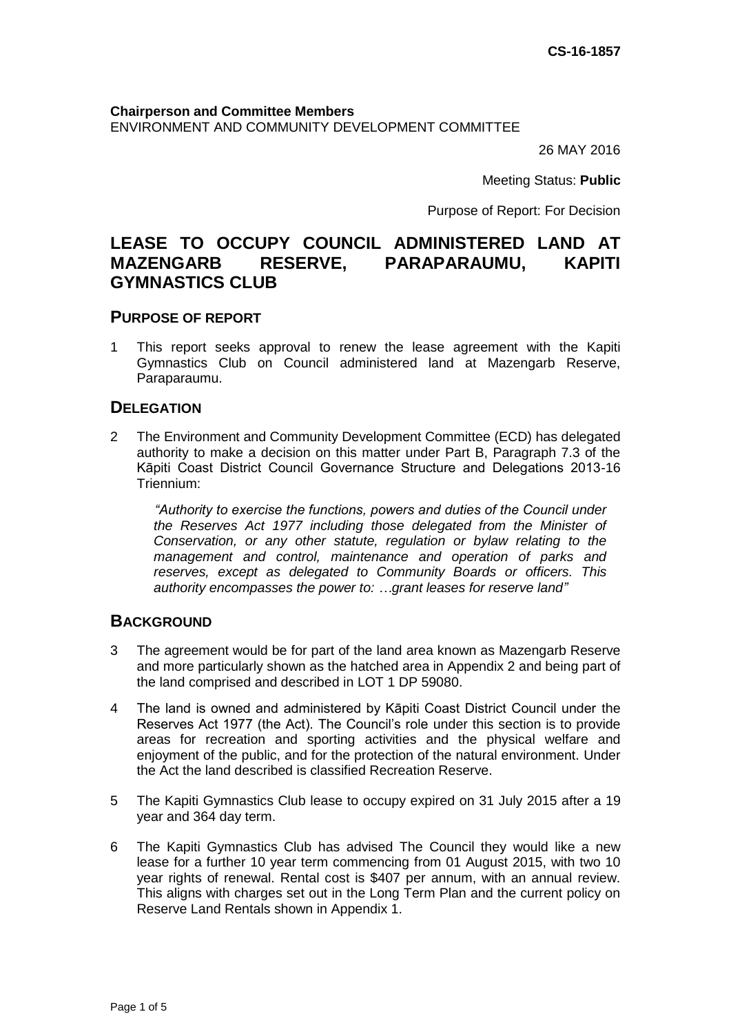**Chairperson and Committee Members** ENVIRONMENT AND COMMUNITY DEVELOPMENT COMMITTEE

26 MAY 2016

Meeting Status: **Public**

Purpose of Report: For Decision

# **LEASE TO OCCUPY COUNCIL ADMINISTERED LAND AT MAZENGARB RESERVE, PARAPARAUMU, KAPITI GYMNASTICS CLUB**

#### **PURPOSE OF REPORT**

1 This report seeks approval to renew the lease agreement with the Kapiti Gymnastics Club on Council administered land at Mazengarb Reserve, Paraparaumu.

### **DELEGATION**

2 The Environment and Community Development Committee (ECD) has delegated authority to make a decision on this matter under Part B, Paragraph 7.3 of the Kāpiti Coast District Council Governance Structure and Delegations 2013-16 Triennium:

*"Authority to exercise the functions, powers and duties of the Council under the Reserves Act 1977 including those delegated from the Minister of Conservation, or any other statute, regulation or bylaw relating to the management and control, maintenance and operation of parks and reserves, except as delegated to Community Boards or officers. This authority encompasses the power to: …grant leases for reserve land"*

#### **BACKGROUND**

- 3 The agreement would be for part of the land area known as Mazengarb Reserve and more particularly shown as the hatched area in Appendix 2 and being part of the land comprised and described in LOT 1 DP 59080.
- 4 The land is owned and administered by Kāpiti Coast District Council under the Reserves Act 1977 (the Act). The Council's role under this section is to provide areas for recreation and sporting activities and the physical welfare and enjoyment of the public, and for the protection of the natural environment. Under the Act the land described is classified Recreation Reserve.
- 5 The Kapiti Gymnastics Club lease to occupy expired on 31 July 2015 after a 19 year and 364 day term.
- 6 The Kapiti Gymnastics Club has advised The Council they would like a new lease for a further 10 year term commencing from 01 August 2015, with two 10 year rights of renewal. Rental cost is \$407 per annum, with an annual review. This aligns with charges set out in the Long Term Plan and the current policy on Reserve Land Rentals shown in Appendix 1.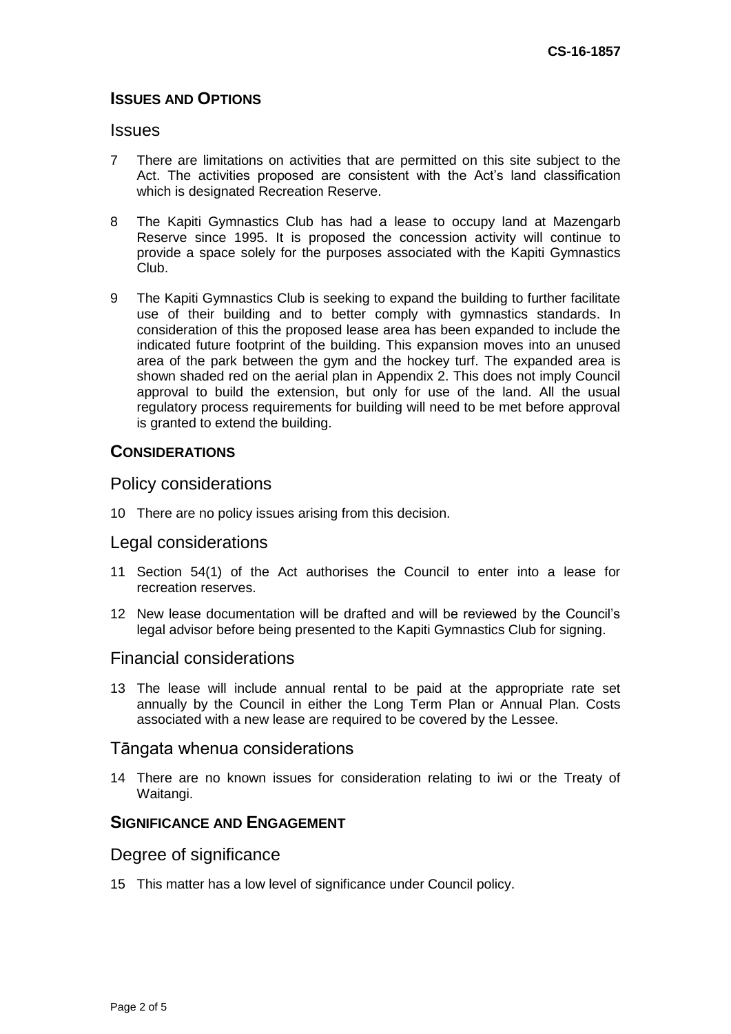## **ISSUES AND OPTIONS**

#### **Issues**

- 7 There are limitations on activities that are permitted on this site subject to the Act. The activities proposed are consistent with the Act's land classification which is designated Recreation Reserve.
- 8 The Kapiti Gymnastics Club has had a lease to occupy land at Mazengarb Reserve since 1995. It is proposed the concession activity will continue to provide a space solely for the purposes associated with the Kapiti Gymnastics Club.
- 9 The Kapiti Gymnastics Club is seeking to expand the building to further facilitate use of their building and to better comply with gymnastics standards. In consideration of this the proposed lease area has been expanded to include the indicated future footprint of the building. This expansion moves into an unused area of the park between the gym and the hockey turf. The expanded area is shown shaded red on the aerial plan in Appendix 2. This does not imply Council approval to build the extension, but only for use of the land. All the usual regulatory process requirements for building will need to be met before approval is granted to extend the building.

### **CONSIDERATIONS**

#### Policy considerations

10 There are no policy issues arising from this decision.

#### Legal considerations

- 11 Section 54(1) of the Act authorises the Council to enter into a lease for recreation reserves.
- 12 New lease documentation will be drafted and will be reviewed by the Council's legal advisor before being presented to the Kapiti Gymnastics Club for signing.

#### Financial considerations

13 The lease will include annual rental to be paid at the appropriate rate set annually by the Council in either the Long Term Plan or Annual Plan. Costs associated with a new lease are required to be covered by the Lessee.

### Tāngata whenua considerations

14 There are no known issues for consideration relating to iwi or the Treaty of Waitangi.

### **SIGNIFICANCE AND ENGAGEMENT**

### Degree of significance

15 This matter has a low level of significance under Council policy.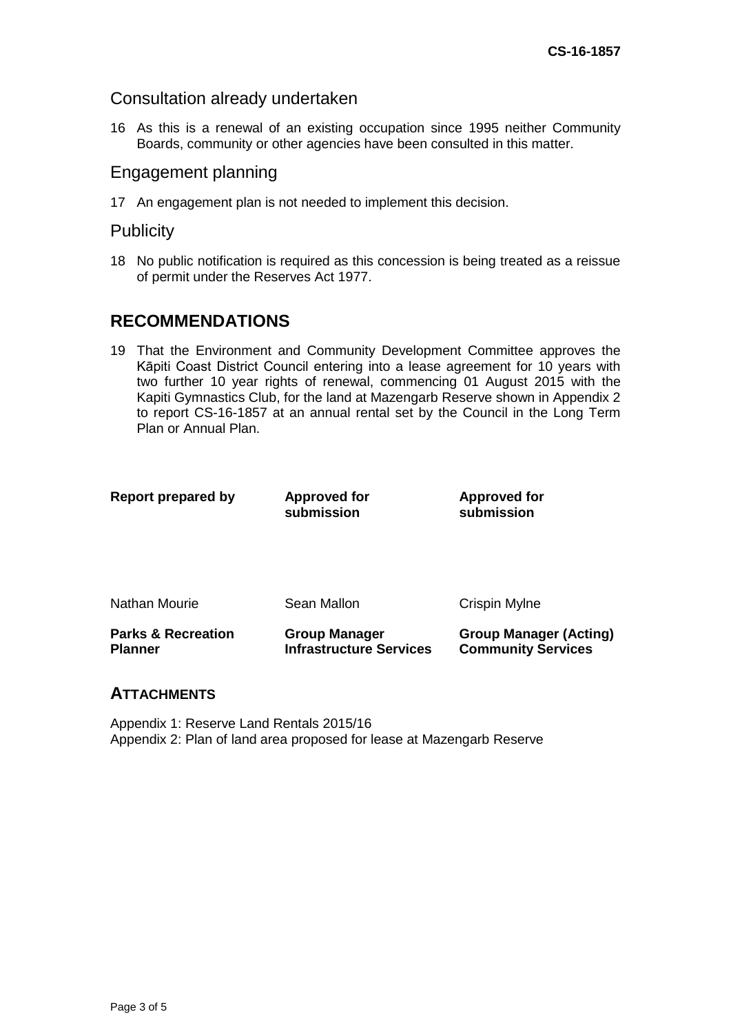### Consultation already undertaken

16 As this is a renewal of an existing occupation since 1995 neither Community Boards, community or other agencies have been consulted in this matter.

### Engagement planning

17 An engagement plan is not needed to implement this decision.

### **Publicity**

18 No public notification is required as this concession is being treated as a reissue of permit under the Reserves Act 1977.

# **RECOMMENDATIONS**

19 That the Environment and Community Development Committee approves the Kāpiti Coast District Council entering into a lease agreement for 10 years with two further 10 year rights of renewal, commencing 01 August 2015 with the Kapiti Gymnastics Club, for the land at Mazengarb Reserve shown in Appendix 2 to report CS-16-1857 at an annual rental set by the Council in the Long Term Plan or Annual Plan.

| Report prepared by                              | <b>Approved for</b><br>submission                      | <b>Approved for</b><br>submission                          |
|-------------------------------------------------|--------------------------------------------------------|------------------------------------------------------------|
| Nathan Mourie                                   | Sean Mallon                                            | Crispin Mylne                                              |
| <b>Parks &amp; Recreation</b><br><b>Planner</b> | <b>Group Manager</b><br><b>Infrastructure Services</b> | <b>Group Manager (Acting)</b><br><b>Community Services</b> |

### **ATTACHMENTS**

Appendix 1: Reserve Land Rentals 2015/16 Appendix 2: Plan of land area proposed for lease at Mazengarb Reserve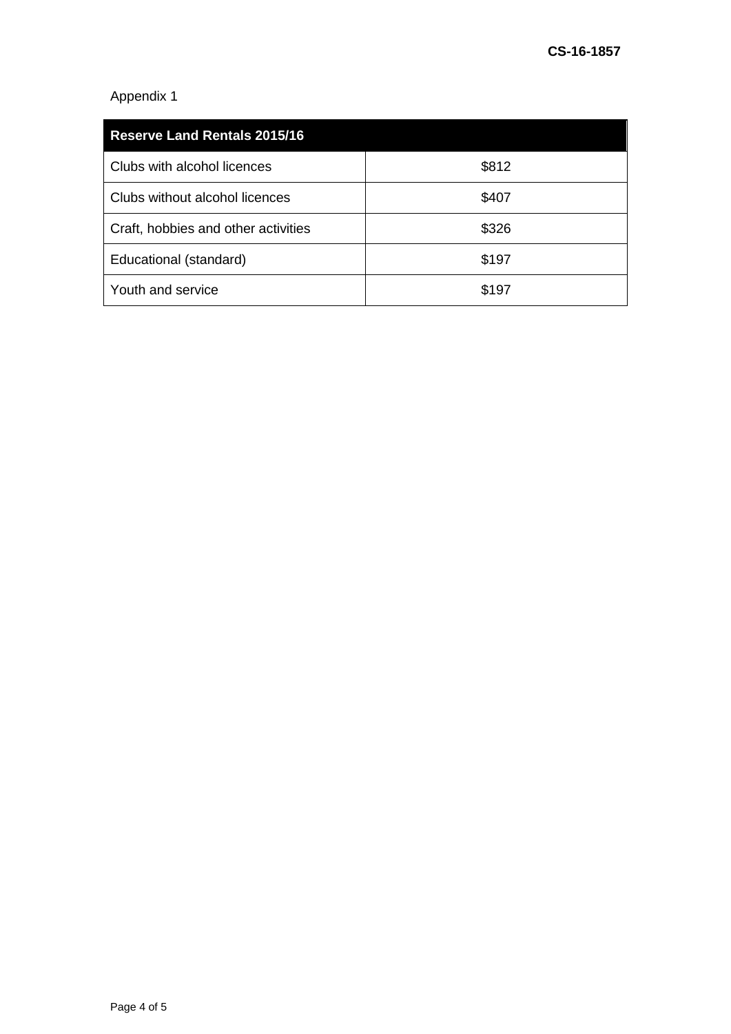## Appendix 1

| <b>Reserve Land Rentals 2015/16</b> |       |  |
|-------------------------------------|-------|--|
| Clubs with alcohol licences         | \$812 |  |
| Clubs without alcohol licences      | \$407 |  |
| Craft, hobbies and other activities | \$326 |  |
| Educational (standard)              | \$197 |  |
| Youth and service                   | \$197 |  |